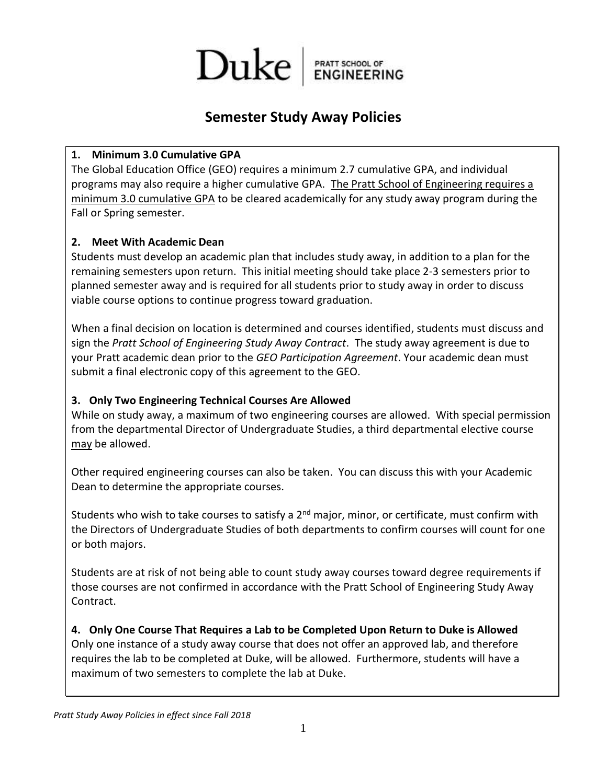

### **Semester Study Away Policies**

#### **1. Minimum 3.0 Cumulative GPA**

The Global Education Office (GEO) requires a minimum 2.7 cumulative GPA, and individual programs may also require a higher cumulative GPA. The Pratt School of Engineering requires a minimum 3.0 cumulative GPA to be cleared academically for any study away program during the Fall or Spring semester.

#### **2. Meet With Academic Dean**

Students must develop an academic plan that includes study away, in addition to a plan for the remaining semesters upon return. This initial meeting should take place 2-3 semesters prior to planned semester away and is required for all students prior to study away in order to discuss viable course options to continue progress toward graduation.

When a final decision on location is determined and courses identified, students must discuss and sign the *Pratt School of Engineering Study Away Contract*. The study away agreement is due to your Pratt academic dean prior to the *GEO Participation Agreement*. Your academic dean must submit a final electronic copy of this agreement to the GEO.

#### **3. Only Two Engineering Technical Courses Are Allowed**

While on study away, a maximum of two engineering courses are allowed. With special permission from the departmental Director of Undergraduate Studies, a third departmental elective course may be allowed.

Other required engineering courses can also be taken. You can discuss this with your Academic Dean to determine the appropriate courses.

Students who wish to take courses to satisfy a  $2<sup>nd</sup>$  major, minor, or certificate, must confirm with the Directors of Undergraduate Studies of both departments to confirm courses will count for one or both majors.

Students are at risk of not being able to count study away courses toward degree requirements if those courses are not confirmed in accordance with the Pratt School of Engineering Study Away Contract.

**4. Only One Course That Requires a Lab to be Completed Upon Return to Duke is Allowed** Only one instance of a study away course that does not offer an approved lab, and therefore requires the lab to be completed at Duke, will be allowed. Furthermore, students will have a maximum of two semesters to complete the lab at Duke.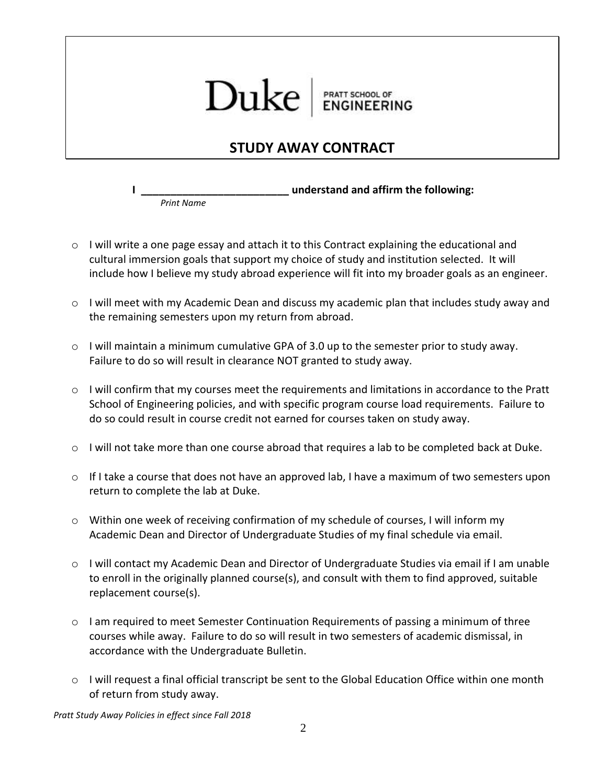# Duke PRATT SCHOOL OF<br>ENGINEERING

## **STUDY AWAY CONTRACT**

**I \_\_\_\_\_\_\_\_\_\_\_\_\_\_\_\_\_\_\_\_\_\_\_\_\_ understand and affirm the following:** *Print Name*

- o I will write a one page essay and attach it to this Contract explaining the educational and cultural immersion goals that support my choice of study and institution selected. It will include how I believe my study abroad experience will fit into my broader goals as an engineer.
- $\circ$  I will meet with my Academic Dean and discuss my academic plan that includes study away and the remaining semesters upon my return from abroad.
- $\circ$  I will maintain a minimum cumulative GPA of 3.0 up to the semester prior to study away. Failure to do so will result in clearance NOT granted to study away.
- o I will confirm that my courses meet the requirements and limitations in accordance to the Pratt School of Engineering policies, and with specific program course load requirements. Failure to do so could result in course credit not earned for courses taken on study away.
- $\circ$  I will not take more than one course abroad that requires a lab to be completed back at Duke.
- $\circ$  If I take a course that does not have an approved lab, I have a maximum of two semesters upon return to complete the lab at Duke.
- o Within one week of receiving confirmation of my schedule of courses, I will inform my Academic Dean and Director of Undergraduate Studies of my final schedule via email.
- o I will contact my Academic Dean and Director of Undergraduate Studies via email if I am unable to enroll in the originally planned course(s), and consult with them to find approved, suitable replacement course(s).
- $\circ$  I am required to meet Semester Continuation Requirements of passing a minimum of three courses while away. Failure to do so will result in two semesters of academic dismissal, in accordance with the Undergraduate Bulletin.
- o I will request a final official transcript be sent to the Global Education Office within one month of return from study away.